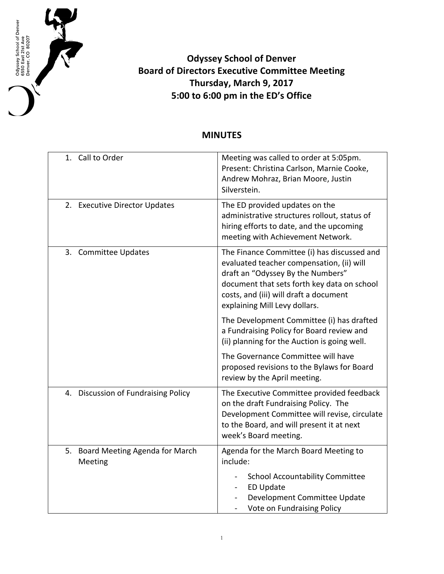

## **Odyssey School of Denver Board of Directors Executive Committee Meeting Thursday, March 9, 2017 5:00 to 6:00 pm in the ED's Office**

## **MINUTES**

| 1. Call to Order                              | Meeting was called to order at 5:05pm.<br>Present: Christina Carlson, Marnie Cooke,<br>Andrew Mohraz, Brian Moore, Justin<br>Silverstein.                                                                                                               |
|-----------------------------------------------|---------------------------------------------------------------------------------------------------------------------------------------------------------------------------------------------------------------------------------------------------------|
| 2. Executive Director Updates                 | The ED provided updates on the<br>administrative structures rollout, status of<br>hiring efforts to date, and the upcoming<br>meeting with Achievement Network.                                                                                         |
| 3. Committee Updates                          | The Finance Committee (i) has discussed and<br>evaluated teacher compensation, (ii) will<br>draft an "Odyssey By the Numbers"<br>document that sets forth key data on school<br>costs, and (iii) will draft a document<br>explaining Mill Levy dollars. |
|                                               | The Development Committee (i) has drafted<br>a Fundraising Policy for Board review and<br>(ii) planning for the Auction is going well.                                                                                                                  |
|                                               | The Governance Committee will have<br>proposed revisions to the Bylaws for Board<br>review by the April meeting.                                                                                                                                        |
| <b>Discussion of Fundraising Policy</b><br>4. | The Executive Committee provided feedback<br>on the draft Fundraising Policy. The<br>Development Committee will revise, circulate<br>to the Board, and will present it at next<br>week's Board meeting.                                                 |
| 5. Board Meeting Agenda for March<br>Meeting  | Agenda for the March Board Meeting to<br>include:<br><b>School Accountability Committee</b><br><b>ED Update</b><br>Development Committee Update<br>Vote on Fundraising Policy                                                                           |